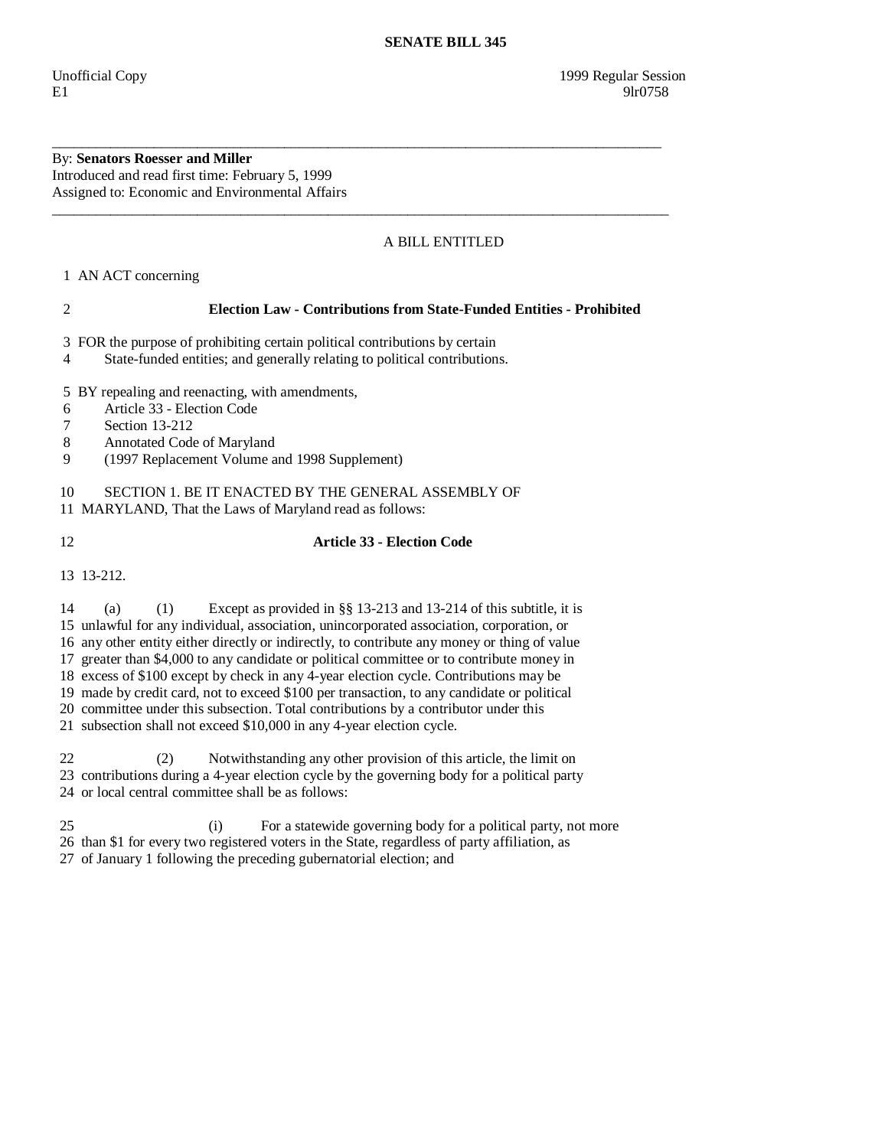By: **Senators Roesser and Miller**  Introduced and read first time: February 5, 1999 Assigned to: Economic and Environmental Affairs

## A BILL ENTITLED

1 AN ACT concerning

## 2 **Election Law - Contributions from State-Funded Entities - Prohibited**

\_\_\_\_\_\_\_\_\_\_\_\_\_\_\_\_\_\_\_\_\_\_\_\_\_\_\_\_\_\_\_\_\_\_\_\_\_\_\_\_\_\_\_\_\_\_\_\_\_\_\_\_\_\_\_\_\_\_\_\_\_\_\_\_\_\_\_\_\_\_\_\_\_\_\_\_\_\_\_\_\_\_\_\_

\_\_\_\_\_\_\_\_\_\_\_\_\_\_\_\_\_\_\_\_\_\_\_\_\_\_\_\_\_\_\_\_\_\_\_\_\_\_\_\_\_\_\_\_\_\_\_\_\_\_\_\_\_\_\_\_\_\_\_\_\_\_\_\_\_\_\_\_\_\_\_\_\_\_\_\_\_\_\_\_\_\_\_\_\_

3 FOR the purpose of prohibiting certain political contributions by certain

4 State-funded entities; and generally relating to political contributions.

5 BY repealing and reenacting, with amendments,

- 6 Article 33 Election Code
- 7 Section 13-212
- 8 Annotated Code of Maryland
- 9 (1997 Replacement Volume and 1998 Supplement)

10 SECTION 1. BE IT ENACTED BY THE GENERAL ASSEMBLY OF

11 MARYLAND, That the Laws of Maryland read as follows:

## 12 **Article 33 - Election Code**

13 13-212.

 14 (a) (1) Except as provided in §§ 13-213 and 13-214 of this subtitle, it is 15 unlawful for any individual, association, unincorporated association, corporation, or 16 any other entity either directly or indirectly, to contribute any money or thing of value 17 greater than \$4,000 to any candidate or political committee or to contribute money in 18 excess of \$100 except by check in any 4-year election cycle. Contributions may be 19 made by credit card, not to exceed \$100 per transaction, to any candidate or political 20 committee under this subsection. Total contributions by a contributor under this 21 subsection shall not exceed \$10,000 in any 4-year election cycle.

 22 (2) Notwithstanding any other provision of this article, the limit on 23 contributions during a 4-year election cycle by the governing body for a political party 24 or local central committee shall be as follows:

 25 (i) For a statewide governing body for a political party, not more 26 than \$1 for every two registered voters in the State, regardless of party affiliation, as 27 of January 1 following the preceding gubernatorial election; and